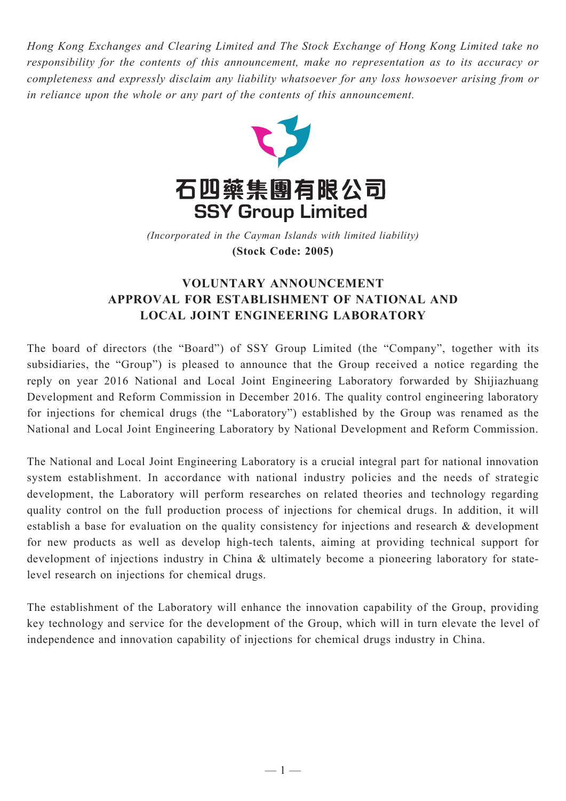*Hong Kong Exchanges and Clearing Limited and The Stock Exchange of Hong Kong Limited take no responsibility for the contents of this announcement, make no representation as to its accuracy or completeness and expressly disclaim any liability whatsoever for any loss howsoever arising from or in reliance upon the whole or any part of the contents of this announcement.*



(Incorporated in the Cayman Islands with limited liability) **(Stock Code: 2005)** *(Incorporated in the Cayman Islands with limited liability)* **(Stock Code: 2005)**

## **VOLUNTARY ANNOUNCEMENT APPROVAL FOR ESTABLISHMENT OF NATIONAL AND LOCAL JOINT ENGINEERING LABORATORY**

The board of directors (the "Board") of SSY Group Limited (the "Company", together with its subsidiaries, the "Group") is pleased to announce that the Group received a notice regarding the reply on year 2016 National and Local Joint Engineering Laboratory forwarded by Shijiazhuang Development and Reform Commission in December 2016. The quality control engineering laboratory for injections for chemical drugs (the "Laboratory") established by the Group was renamed as the National and Local Joint Engineering Laboratory by National Development and Reform Commission.

The National and Local Joint Engineering Laboratory is a crucial integral part for national innovation system establishment. In accordance with national industry policies and the needs of strategic development, the Laboratory will perform researches on related theories and technology regarding quality control on the full production process of injections for chemical drugs. In addition, it will establish a base for evaluation on the quality consistency for injections and research & development for new products as well as develop high-tech talents, aiming at providing technical support for development of injections industry in China & ultimately become a pioneering laboratory for statelevel research on injections for chemical drugs.

The establishment of the Laboratory will enhance the innovation capability of the Group, providing key technology and service for the development of the Group, which will in turn elevate the level of independence and innovation capability of injections for chemical drugs industry in China.